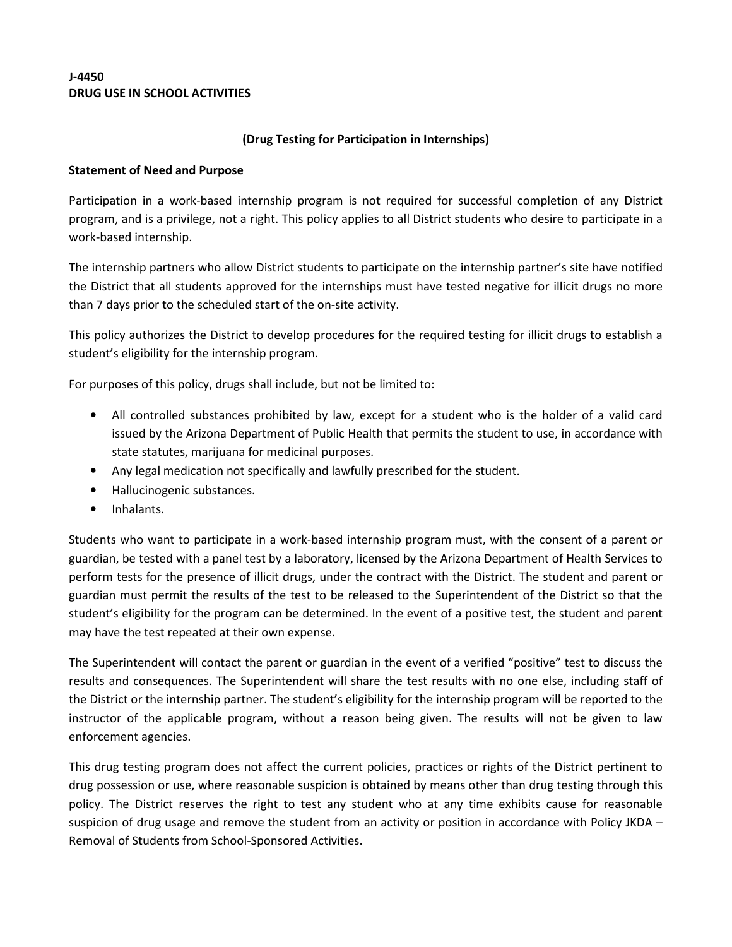## J-4450 DRUG USE IN SCHOOL ACTIVITIES

## (Drug Testing for Participation in Internships)

## Statement of Need and Purpose

Participation in a work-based internship program is not required for successful completion of any District program, and is a privilege, not a right. This policy applies to all District students who desire to participate in a work-based internship.

The internship partners who allow District students to participate on the internship partner's site have notified the District that all students approved for the internships must have tested negative for illicit drugs no more than 7 days prior to the scheduled start of the on-site activity.

This policy authorizes the District to develop procedures for the required testing for illicit drugs to establish a student's eligibility for the internship program.

For purposes of this policy, drugs shall include, but not be limited to:

- All controlled substances prohibited by law, except for a student who is the holder of a valid card issued by the Arizona Department of Public Health that permits the student to use, in accordance with state statutes, marijuana for medicinal purposes.
- Any legal medication not specifically and lawfully prescribed for the student.
- Hallucinogenic substances.
- Inhalants.

Students who want to participate in a work-based internship program must, with the consent of a parent or guardian, be tested with a panel test by a laboratory, licensed by the Arizona Department of Health Services to perform tests for the presence of illicit drugs, under the contract with the District. The student and parent or guardian must permit the results of the test to be released to the Superintendent of the District so that the student's eligibility for the program can be determined. In the event of a positive test, the student and parent may have the test repeated at their own expense.

The Superintendent will contact the parent or guardian in the event of a verified "positive" test to discuss the results and consequences. The Superintendent will share the test results with no one else, including staff of the District or the internship partner. The student's eligibility for the internship program will be reported to the instructor of the applicable program, without a reason being given. The results will not be given to law enforcement agencies.

This drug testing program does not affect the current policies, practices or rights of the District pertinent to drug possession or use, where reasonable suspicion is obtained by means other than drug testing through this policy. The District reserves the right to test any student who at any time exhibits cause for reasonable suspicion of drug usage and remove the student from an activity or position in accordance with Policy JKDA – Removal of Students from School-Sponsored Activities.